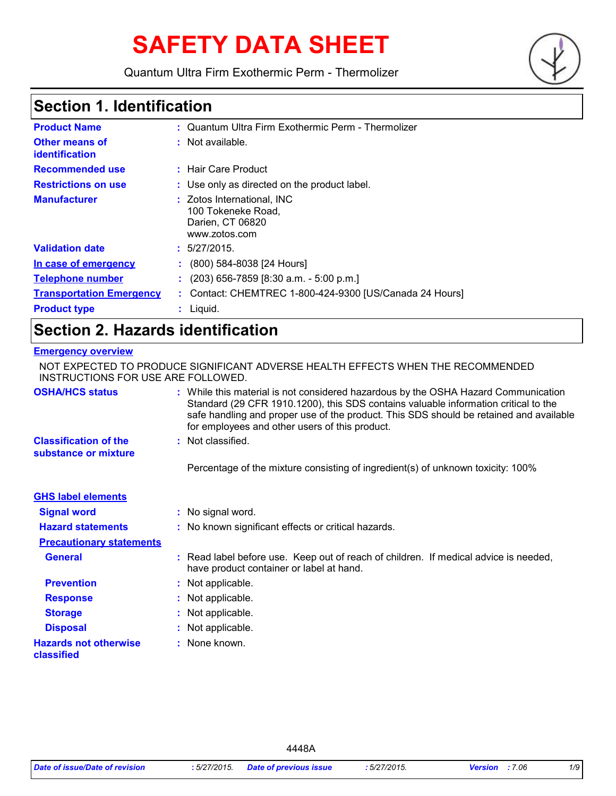# **SAFETY DATA SHEET**

Quantum Ultra Firm Exothermic Perm - Thermolizer



### **Section 1. Identification**

| <b>Product Name</b>                     | : Quantum Ultra Firm Exothermic Perm - Thermolizer                                    |
|-----------------------------------------|---------------------------------------------------------------------------------------|
| <b>Other means of</b><br>identification | : Not available.                                                                      |
| <b>Recommended use</b>                  | : Hair Care Product                                                                   |
| <b>Restrictions on use</b>              | : Use only as directed on the product label.                                          |
| <b>Manufacturer</b>                     | : Zotos International, INC<br>100 Tokeneke Road,<br>Darien, CT 06820<br>www.zotos.com |
| <b>Validation date</b>                  | : 5/27/2015.                                                                          |
| In case of emergency                    | $\colon$ (800) 584-8038 [24 Hours]                                                    |
| <b>Telephone number</b>                 | $(203)$ 656-7859 [8:30 a.m. - 5:00 p.m.]                                              |
| <b>Transportation Emergency</b>         | : Contact: CHEMTREC 1-800-424-9300 [US/Canada 24 Hours]                               |
| <b>Product type</b>                     | Liquid.                                                                               |

### **Section 2. Hazards identification**

#### **Emergency overview**

| INSTRUCTIONS FOR USE ARE FOLLOWED.                   | NOT EXPECTED TO PRODUCE SIGNIFICANT ADVERSE HEALTH EFFECTS WHEN THE RECOMMENDED                                                                                                                                                                                                                                       |
|------------------------------------------------------|-----------------------------------------------------------------------------------------------------------------------------------------------------------------------------------------------------------------------------------------------------------------------------------------------------------------------|
| <b>OSHA/HCS status</b>                               | : While this material is not considered hazardous by the OSHA Hazard Communication<br>Standard (29 CFR 1910.1200), this SDS contains valuable information critical to the<br>safe handling and proper use of the product. This SDS should be retained and available<br>for employees and other users of this product. |
| <b>Classification of the</b><br>substance or mixture | : Not classified.                                                                                                                                                                                                                                                                                                     |
|                                                      | Percentage of the mixture consisting of ingredient(s) of unknown toxicity: 100%                                                                                                                                                                                                                                       |
| <b>GHS label elements</b>                            |                                                                                                                                                                                                                                                                                                                       |
| <b>Signal word</b>                                   | : No signal word.                                                                                                                                                                                                                                                                                                     |
| <b>Hazard statements</b>                             | : No known significant effects or critical hazards.                                                                                                                                                                                                                                                                   |
| <b>Precautionary statements</b>                      |                                                                                                                                                                                                                                                                                                                       |
| <b>General</b>                                       | : Read label before use. Keep out of reach of children. If medical advice is needed,<br>have product container or label at hand.                                                                                                                                                                                      |
| <b>Prevention</b>                                    | : Not applicable.                                                                                                                                                                                                                                                                                                     |
| <b>Response</b>                                      | : Not applicable.                                                                                                                                                                                                                                                                                                     |
| <b>Storage</b>                                       | : Not applicable.                                                                                                                                                                                                                                                                                                     |
| <b>Disposal</b>                                      | : Not applicable.                                                                                                                                                                                                                                                                                                     |
| <b>Hazards not otherwise</b><br>classified           | : None known.                                                                                                                                                                                                                                                                                                         |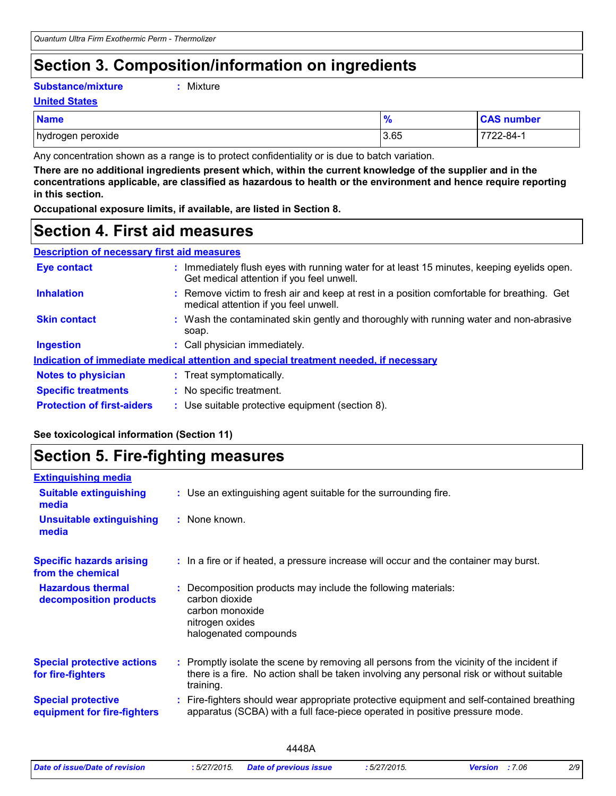### **Section 3. Composition/information on ingredients**

#### **Substance/mixture :**

: Mixture

#### **United States**

| <b>Name</b>       | 70   | <b>CAS number</b> |
|-------------------|------|-------------------|
| hydrogen peroxide | 3.65 | 722-84-1          |

Any concentration shown as a range is to protect confidentiality or is due to batch variation.

**There are no additional ingredients present which, within the current knowledge of the supplier and in the concentrations applicable, are classified as hazardous to health or the environment and hence require reporting in this section.**

**Occupational exposure limits, if available, are listed in Section 8.**

### **Section 4. First aid measures**

| <b>Description of necessary first aid measures</b> |                                                                                                                                         |
|----------------------------------------------------|-----------------------------------------------------------------------------------------------------------------------------------------|
| <b>Eye contact</b>                                 | : Immediately flush eyes with running water for at least 15 minutes, keeping eyelids open.<br>Get medical attention if you feel unwell. |
| <b>Inhalation</b>                                  | : Remove victim to fresh air and keep at rest in a position comfortable for breathing. Get<br>medical attention if you feel unwell.     |
| <b>Skin contact</b>                                | : Wash the contaminated skin gently and thoroughly with running water and non-abrasive<br>soap.                                         |
| <b>Ingestion</b>                                   | : Call physician immediately.                                                                                                           |
|                                                    | Indication of immediate medical attention and special treatment needed, if necessary                                                    |
| <b>Notes to physician</b>                          | : Treat symptomatically.                                                                                                                |
| <b>Specific treatments</b>                         | : No specific treatment.                                                                                                                |

# **See toxicological information (Section 11)**

**Protection of first-aiders** : Use suitable protective equipment (section 8).

## **Section 5. Fire-fighting measures**

| <b>Extinguishing media</b>                               |                                                                                                                                                                                                     |
|----------------------------------------------------------|-----------------------------------------------------------------------------------------------------------------------------------------------------------------------------------------------------|
| <b>Suitable extinguishing</b><br>media                   | : Use an extinguishing agent suitable for the surrounding fire.                                                                                                                                     |
| <b>Unsuitable extinguishing</b><br>media                 | : None known.                                                                                                                                                                                       |
| <b>Specific hazards arising</b><br>from the chemical     | : In a fire or if heated, a pressure increase will occur and the container may burst.                                                                                                               |
| <b>Hazardous thermal</b><br>decomposition products       | Decomposition products may include the following materials:<br>carbon dioxide<br>carbon monoxide<br>nitrogen oxides<br>halogenated compounds                                                        |
| <b>Special protective actions</b><br>for fire-fighters   | : Promptly isolate the scene by removing all persons from the vicinity of the incident if<br>there is a fire. No action shall be taken involving any personal risk or without suitable<br>training. |
| <b>Special protective</b><br>equipment for fire-fighters | : Fire-fighters should wear appropriate protective equipment and self-contained breathing<br>apparatus (SCBA) with a full face-piece operated in positive pressure mode.                            |
|                                                          |                                                                                                                                                                                                     |

|                                |             | <b>10 A</b>                   |             |                |     |
|--------------------------------|-------------|-------------------------------|-------------|----------------|-----|
| Date of issue/Date of revision | :5/27/2015. | <b>Date of previous issue</b> | : 5/27/2015 | Version : 7.06 | 2/9 |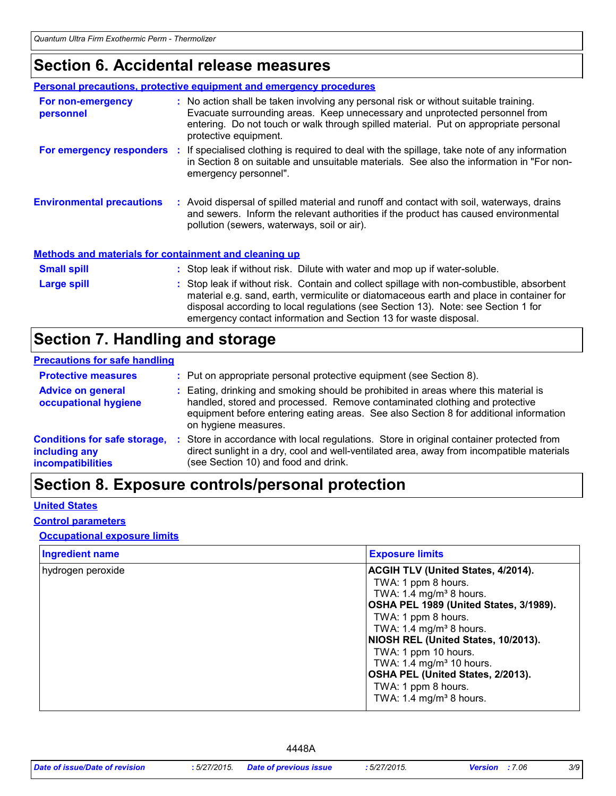### **Section 6. Accidental release measures**

|                                                              | <b>Personal precautions, protective equipment and emergency procedures</b>                                                                                                                                                                                                                                                                    |
|--------------------------------------------------------------|-----------------------------------------------------------------------------------------------------------------------------------------------------------------------------------------------------------------------------------------------------------------------------------------------------------------------------------------------|
| For non-emergency<br>personnel                               | : No action shall be taken involving any personal risk or without suitable training.<br>Evacuate surrounding areas. Keep unnecessary and unprotected personnel from<br>entering. Do not touch or walk through spilled material. Put on appropriate personal<br>protective equipment.                                                          |
|                                                              | For emergency responders : If specialised clothing is required to deal with the spillage, take note of any information<br>in Section 8 on suitable and unsuitable materials. See also the information in "For non-<br>emergency personnel".                                                                                                   |
| <b>Environmental precautions</b>                             | : Avoid dispersal of spilled material and runoff and contact with soil, waterways, drains<br>and sewers. Inform the relevant authorities if the product has caused environmental<br>pollution (sewers, waterways, soil or air).                                                                                                               |
| <b>Methods and materials for containment and cleaning up</b> |                                                                                                                                                                                                                                                                                                                                               |
| <b>Small spill</b>                                           | : Stop leak if without risk. Dilute with water and mop up if water-soluble.                                                                                                                                                                                                                                                                   |
| <b>Large spill</b>                                           | : Stop leak if without risk. Contain and collect spillage with non-combustible, absorbent<br>material e.g. sand, earth, vermiculite or diatomaceous earth and place in container for<br>disposal according to local regulations (see Section 13). Note: see Section 1 for<br>emergency contact information and Section 13 for waste disposal. |

# **Section 7. Handling and storage**

#### **Precautions for safe handling**

| <b>Protective measures</b>                                                       | : Put on appropriate personal protective equipment (see Section 8).                                                                                                                                                                                                                |
|----------------------------------------------------------------------------------|------------------------------------------------------------------------------------------------------------------------------------------------------------------------------------------------------------------------------------------------------------------------------------|
| <b>Advice on general</b><br>occupational hygiene                                 | : Eating, drinking and smoking should be prohibited in areas where this material is<br>handled, stored and processed. Remove contaminated clothing and protective<br>equipment before entering eating areas. See also Section 8 for additional information<br>on hygiene measures. |
| <b>Conditions for safe storage,</b><br>including any<br><b>incompatibilities</b> | Store in accordance with local regulations. Store in original container protected from<br>direct sunlight in a dry, cool and well-ventilated area, away from incompatible materials<br>(see Section 10) and food and drink.                                                        |

### **Section 8. Exposure controls/personal protection**

### **United States**

#### **Control parameters**

### **Occupational exposure limits**

| <b>Ingredient name</b> | <b>Exposure limits</b>                                                                                                                                                                                                                                 |
|------------------------|--------------------------------------------------------------------------------------------------------------------------------------------------------------------------------------------------------------------------------------------------------|
| hydrogen peroxide      | <b>ACGIH TLV (United States, 4/2014).</b><br>TWA: 1 ppm 8 hours.<br>TWA: 1.4 mg/m <sup>3</sup> 8 hours.<br>OSHA PEL 1989 (United States, 3/1989).<br>TWA: 1 ppm 8 hours.<br>TWA: 1.4 mg/m <sup>3</sup> 8 hours.<br>NIOSH REL (United States, 10/2013). |
|                        | TWA: 1 ppm 10 hours.<br>TWA: 1.4 mg/m <sup>3</sup> 10 hours.<br>OSHA PEL (United States, 2/2013).<br>TWA: 1 ppm 8 hours.<br>TWA: $1.4 \text{ mg/m}^3$ 8 hours.                                                                                         |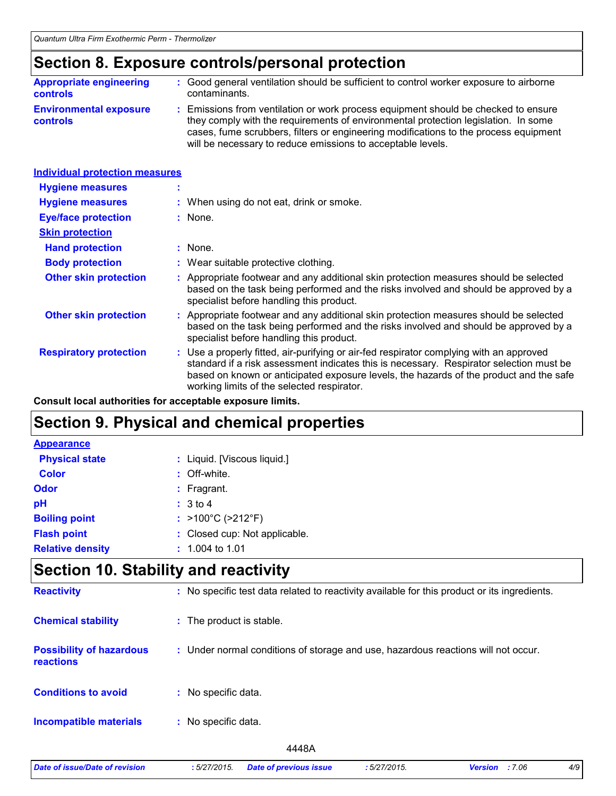### **Section 8. Exposure controls/personal protection**

| <b>Appropriate engineering</b>                   | : Good general ventilation should be sufficient to control worker exposure to airborne                                                                                                                                                                                                                                          |
|--------------------------------------------------|---------------------------------------------------------------------------------------------------------------------------------------------------------------------------------------------------------------------------------------------------------------------------------------------------------------------------------|
| <b>controls</b>                                  | contaminants.                                                                                                                                                                                                                                                                                                                   |
| <b>Environmental exposure</b><br><b>controls</b> | : Emissions from ventilation or work process equipment should be checked to ensure<br>they comply with the requirements of environmental protection legislation. In some<br>cases, fume scrubbers, filters or engineering modifications to the process equipment<br>will be necessary to reduce emissions to acceptable levels. |

| <b>Individual protection measures</b> |                                                                                                                                                                                                                                                                                                                            |
|---------------------------------------|----------------------------------------------------------------------------------------------------------------------------------------------------------------------------------------------------------------------------------------------------------------------------------------------------------------------------|
| <b>Hygiene measures</b>               |                                                                                                                                                                                                                                                                                                                            |
| <b>Hygiene measures</b>               | : When using do not eat, drink or smoke.                                                                                                                                                                                                                                                                                   |
| <b>Eye/face protection</b>            | : None.                                                                                                                                                                                                                                                                                                                    |
| <b>Skin protection</b>                |                                                                                                                                                                                                                                                                                                                            |
| <b>Hand protection</b>                | $:$ None.                                                                                                                                                                                                                                                                                                                  |
| <b>Body protection</b>                | : Wear suitable protective clothing.                                                                                                                                                                                                                                                                                       |
| <b>Other skin protection</b>          | : Appropriate footwear and any additional skin protection measures should be selected<br>based on the task being performed and the risks involved and should be approved by a<br>specialist before handling this product.                                                                                                  |
| <b>Other skin protection</b>          | : Appropriate footwear and any additional skin protection measures should be selected<br>based on the task being performed and the risks involved and should be approved by a<br>specialist before handling this product.                                                                                                  |
| <b>Respiratory protection</b>         | : Use a properly fitted, air-purifying or air-fed respirator complying with an approved<br>standard if a risk assessment indicates this is necessary. Respirator selection must be<br>based on known or anticipated exposure levels, the hazards of the product and the safe<br>working limits of the selected respirator. |

**Consult local authorities for acceptable exposure limits.**

### **Section 9. Physical and chemical properties**

| <b>Appearance</b>       |                                        |
|-------------------------|----------------------------------------|
| <b>Physical state</b>   | : Liquid. [Viscous liquid.]            |
| <b>Color</b>            | : Off-white.                           |
| Odor                    | $:$ Fragrant.                          |
| pH                      | : 3 to 4                               |
| <b>Boiling point</b>    | : $>100^{\circ}$ C ( $>212^{\circ}$ F) |
| <b>Flash point</b>      | : Closed cup: Not applicable.          |
| <b>Relative density</b> | $: 1.004$ to 1.01                      |

### **Section 10. Stability and reactivity**

| <b>Reactivity</b>                                   | : No specific test data related to reactivity available for this product or its ingredients. |
|-----------------------------------------------------|----------------------------------------------------------------------------------------------|
| <b>Chemical stability</b>                           | : The product is stable.                                                                     |
| <b>Possibility of hazardous</b><br><b>reactions</b> | : Under normal conditions of storage and use, hazardous reactions will not occur.            |
| <b>Conditions to avoid</b>                          | : No specific data.                                                                          |
| <b>Incompatible materials</b>                       | : No specific data.                                                                          |
|                                                     | 4448A                                                                                        |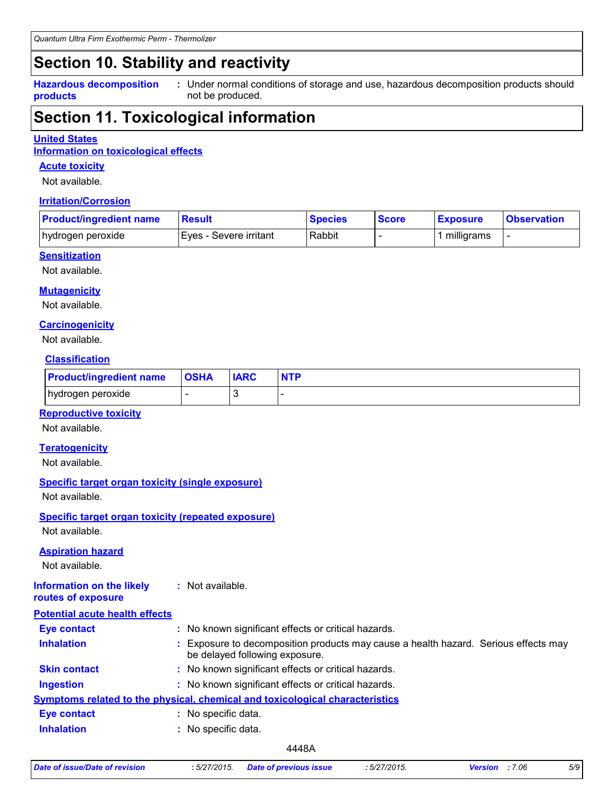### **Section 10. Stability and reactivity**

**Hazardous decomposition products**

Under normal conditions of storage and use, hazardous decomposition products should **:** not be produced.

### **Section 11. Toxicological information**

#### **United States**

**Information on toxicological effects**

#### **Acute toxicity**

Not available.

#### **Irritation/Corrosion**

| <b>Product/ingredient name</b> | <b>Result</b>           | <b>Species</b> | <b>Score</b> | <b>Exposure</b> | <b>Observation</b> |
|--------------------------------|-------------------------|----------------|--------------|-----------------|--------------------|
| hydrogen peroxide              | IEves - Severe irritant | Rabbit         |              | milligrams      |                    |

### **Sensitization**

Not available.

#### **Mutagenicity**

Not available.

#### **Carcinogenicity**

Not available.

### **Classification**

| <b>Product/ingredient name</b> | <b>OSHA</b> | <b>IARC</b> | <b>NTP</b> |
|--------------------------------|-------------|-------------|------------|
| hydrogen peroxide              |             |             |            |

### **Reproductive toxicity**

Not available.

#### **Teratogenicity**

Not available.

### **Specific target organ toxicity (single exposure)**

Not available.

### **Specific target organ toxicity (repeated exposure)**

Not available.

#### **Aspiration hazard**

Not available.

#### **Information on the likely routes of exposure :** Not available.

| <b>Potential acute health effects</b> |    |                                                                                                                     |
|---------------------------------------|----|---------------------------------------------------------------------------------------------------------------------|
| <b>Eye contact</b>                    |    | : No known significant effects or critical hazards.                                                                 |
| <b>Inhalation</b>                     |    | Exposure to decomposition products may cause a health hazard. Serious effects may<br>be delayed following exposure. |
| <b>Skin contact</b>                   |    | : No known significant effects or critical hazards.                                                                 |
| <b>Ingestion</b>                      |    | : No known significant effects or critical hazards.                                                                 |
|                                       |    | Symptoms related to the physical, chemical and toxicological characteristics                                        |
| <b>Eye contact</b>                    | ÷. | No specific data.                                                                                                   |
| <b>Inhalation</b>                     |    | : No specific data.                                                                                                 |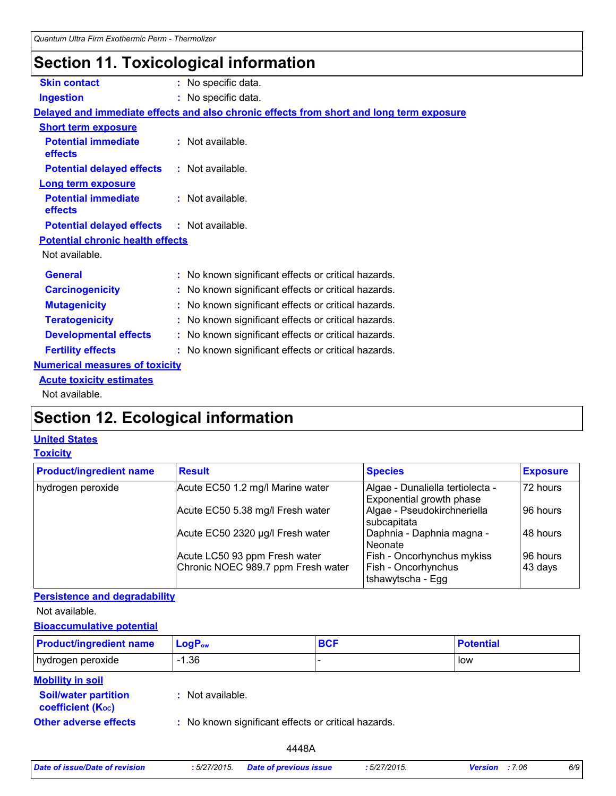### **Section 11. Toxicological information**

| <b>Skin contact</b>                               | : No specific data.                                                                      |
|---------------------------------------------------|------------------------------------------------------------------------------------------|
| <b>Ingestion</b>                                  | : No specific data.                                                                      |
|                                                   | Delayed and immediate effects and also chronic effects from short and long term exposure |
| <b>Short term exposure</b>                        |                                                                                          |
| <b>Potential immediate</b><br>effects             | : Not available.                                                                         |
| <b>Potential delayed effects</b>                  | : Not available.                                                                         |
| <b>Long term exposure</b>                         |                                                                                          |
| <b>Potential immediate</b><br>effects             | : Not available.                                                                         |
| <b>Potential delayed effects : Not available.</b> |                                                                                          |
| <b>Potential chronic health effects</b>           |                                                                                          |
| Not available.                                    |                                                                                          |
| <b>General</b>                                    | : No known significant effects or critical hazards.                                      |
| <b>Carcinogenicity</b>                            | : No known significant effects or critical hazards.                                      |
| <b>Mutagenicity</b>                               | : No known significant effects or critical hazards.                                      |
| <b>Teratogenicity</b>                             | : No known significant effects or critical hazards.                                      |
| <b>Developmental effects</b>                      | : No known significant effects or critical hazards.                                      |
| <b>Fertility effects</b>                          | : No known significant effects or critical hazards.                                      |
| <b>Numerical measures of toxicity</b>             |                                                                                          |
| <b>Acute toxicity estimates</b>                   |                                                                                          |
| Not available.                                    |                                                                                          |

### **Section 12. Ecological information**

### **United States**

### **Toxicity**

| <b>Product/ingredient name</b> | <b>Result</b>                      | <b>Species</b>                                               | <b>Exposure</b> |
|--------------------------------|------------------------------------|--------------------------------------------------------------|-----------------|
| hydrogen peroxide              | Acute EC50 1.2 mg/l Marine water   | Algae - Dunaliella tertiolecta -<br>Exponential growth phase | 72 hours        |
|                                | Acute EC50 5.38 mg/l Fresh water   | Algae - Pseudokirchneriella<br>subcapitata                   | 96 hours        |
|                                | Acute EC50 2320 µg/l Fresh water   | Daphnia - Daphnia magna -<br>Neonate                         | 48 hours        |
|                                | Acute LC50 93 ppm Fresh water      | Fish - Oncorhynchus mykiss                                   | 96 hours        |
|                                | Chronic NOEC 989.7 ppm Fresh water | Fish - Oncorhynchus<br>Itshawytscha - Egg                    | 43 days         |

### **Persistence and degradability**

Not available.

### **Bioaccumulative potential**

| <b>Product/ingredient name</b>                                | $LogP_{ow}$                                         | <b>BCF</b> | <b>Potential</b> |
|---------------------------------------------------------------|-----------------------------------------------------|------------|------------------|
| hydrogen peroxide                                             | $-1.36$                                             |            | low              |
| <b>Mobility in soil</b>                                       |                                                     |            |                  |
| <b>Soil/water partition</b><br>coefficient (K <sub>oc</sub> ) | : Not available.                                    |            |                  |
| <b>Other adverse effects</b>                                  | : No known significant effects or critical hazards. |            |                  |

| Date of issue/Date of revision | :5/27/2015. | <b>Date of previous issue</b> | :5/27/2015. |
|--------------------------------|-------------|-------------------------------|-------------|
|                                |             |                               |             |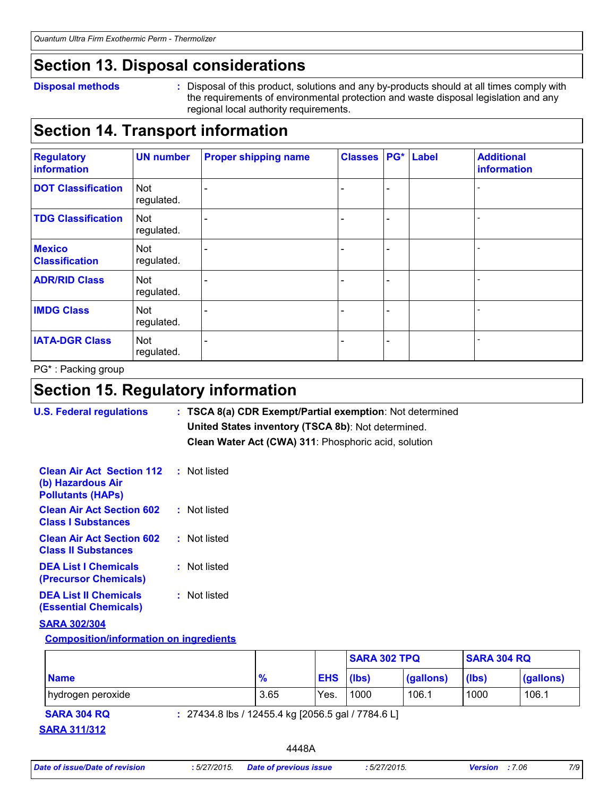### **Section 13. Disposal considerations**

#### **Disposal methods :**

Disposal of this product, solutions and any by-products should at all times comply with the requirements of environmental protection and waste disposal legislation and any regional local authority requirements.

### **Section 14. Transport information**

| <b>Regulatory</b><br>information       | <b>UN number</b>         | <b>Proper shipping name</b> | <b>Classes</b> | PG*                      | Label | <b>Additional</b><br>information |
|----------------------------------------|--------------------------|-----------------------------|----------------|--------------------------|-------|----------------------------------|
| <b>DOT Classification</b>              | <b>Not</b><br>regulated. |                             |                | $\overline{\phantom{0}}$ |       |                                  |
| <b>TDG Classification</b>              | <b>Not</b><br>regulated. |                             |                | -                        |       |                                  |
| <b>Mexico</b><br><b>Classification</b> | Not<br>regulated.        |                             |                | -                        |       |                                  |
| <b>ADR/RID Class</b>                   | <b>Not</b><br>regulated. |                             |                | -                        |       |                                  |
| <b>IMDG Class</b>                      | Not<br>regulated.        |                             |                | -                        |       |                                  |
| <b>IATA-DGR Class</b>                  | Not<br>regulated.        |                             |                | -                        |       |                                  |

PG\* : Packing group

### **Section 15. Regulatory information**

**U.S. Federal regulations Clean Water Act (CWA) 311**: Phosphoric acid, solution **: TSCA 8(a) CDR Exempt/Partial exemption**: Not determined **United States inventory (TSCA 8b)**: Not determined.

| <b>Clean Air Act Section 112 : Not listed</b><br>(b) Hazardous Air<br><b>Pollutants (HAPs)</b> |              |
|------------------------------------------------------------------------------------------------|--------------|
| <b>Clean Air Act Section 602</b><br><b>Class I Substances</b>                                  | : Not listed |
| <b>Clean Air Act Section 602</b><br><b>Class II Substances</b>                                 | : Not listed |
| <b>DEA List I Chemicals</b><br>(Precursor Chemicals)                                           | : Not listed |
| <b>DEA List II Chemicals</b><br><b>(Essential Chemicals)</b>                                   | : Not listed |

### **SARA 302/304**

**Composition/information on ingredients**

|                   |               |                  | <b>SARA 302 TPQ</b> |           | <b>SARA 304 RQ</b> |           |
|-------------------|---------------|------------------|---------------------|-----------|--------------------|-----------|
| <b>Name</b>       | $\frac{9}{6}$ | <b>EHS</b> (lbs) |                     | (gallons) | (lbs)              | (gallons) |
| hydrogen peroxide | 3.65          | Yes.             | 1000                | 106.1     | 1000               | 106.1     |

**SARA 311/312**

**SARA 304 RQ :** 27434.8 lbs / 12455.4 kg [2056.5 gal / 7784.6 L]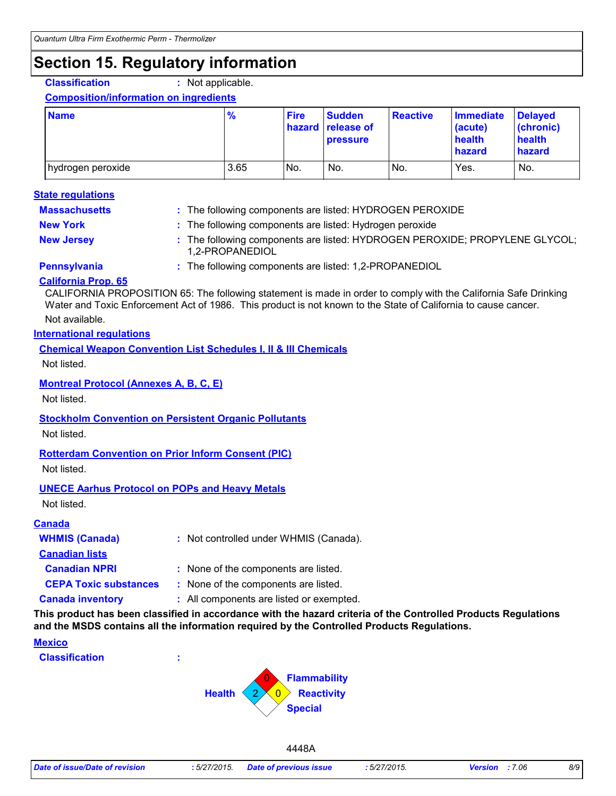### **Section 15. Regulatory information**

**Classification :** Not applicable.

#### **Composition/information on ingredients**

| <b>Name</b>       | $\frac{9}{6}$ | <b>Fire</b> | <b>Sudden</b><br>hazard release of<br><b>pressure</b> | <b>Reactive</b> | <b>Immediate</b><br>(acute)<br>health<br><b>hazard</b> | <b>Delayed</b><br>(chronic)<br>health<br>hazard |
|-------------------|---------------|-------------|-------------------------------------------------------|-----------------|--------------------------------------------------------|-------------------------------------------------|
| hydrogen peroxide | 3.65          | No.         | No.                                                   | INo.            | Yes.                                                   | No.                                             |

#### **State regulations**

| <b>Massachusetts</b> | : The following components are listed: HYDROGEN PEROXIDE                                       |
|----------------------|------------------------------------------------------------------------------------------------|
| <b>New York</b>      | : The following components are listed: Hydrogen peroxide                                       |
| <b>New Jersey</b>    | : The following components are listed: HYDROGEN PEROXIDE; PROPYLENE GLYCOL;<br>1.2-PROPANEDIOL |
| <b>Pennsylvania</b>  | : The following components are listed: 1,2-PROPANEDIOL                                         |

### **California Prop. 65**

Not available. CALIFORNIA PROPOSITION 65: The following statement is made in order to comply with the California Safe Drinking Water and Toxic Enforcement Act of 1986. This product is not known to the State of California to cause cancer.

#### **International regulations**

### **Chemical Weapon Convention List Schedules I, II & III Chemicals**

Not listed.

### **Montreal Protocol (Annexes A, B, C, E)**

Not listed.

### **Stockholm Convention on Persistent Organic Pollutants**

Not listed.

### **Rotterdam Convention on Prior Inform Consent (PIC)**

Not listed.

### **UNECE Aarhus Protocol on POPs and Heavy Metals**

Not listed.

#### **Canada**

| <b>WHMIS (Canada)</b>        | : Not controlled under WHMIS (Canada).   |
|------------------------------|------------------------------------------|
| <b>Canadian lists</b>        |                                          |
| <b>Canadian NPRI</b>         | : None of the components are listed.     |
| <b>CEPA Toxic substances</b> | : None of the components are listed.     |
| <b>Canada inventory</b>      | : All components are listed or exempted. |

**This product has been classified in accordance with the hazard criteria of the Controlled Products Regulations and the MSDS contains all the information required by the Controlled Products Regulations.**

#### **Mexico**

**Classification :**